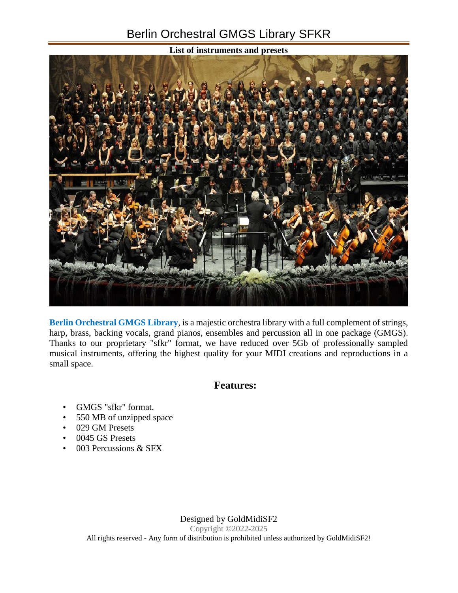## Berlin Orchestral GMGS Library SFKR



**Berlin Orchestral GMGS Library**, is a majestic orchestra library with a full complement of strings, harp, brass, backing vocals, grand pianos, ensembles and percussion all in one package (GMGS). Thanks to our proprietary "sfkr" format, we have reduced over 5Gb of professionally sampled musical instruments, offering the highest quality for your MIDI creations and reproductions in a small space.

## **Features:**

- GMGS "sfkr" format.
- 550 MB of unzipped space
- 029 GM Presets
- 0045 GS Presets
- 003 Percussions & SFX